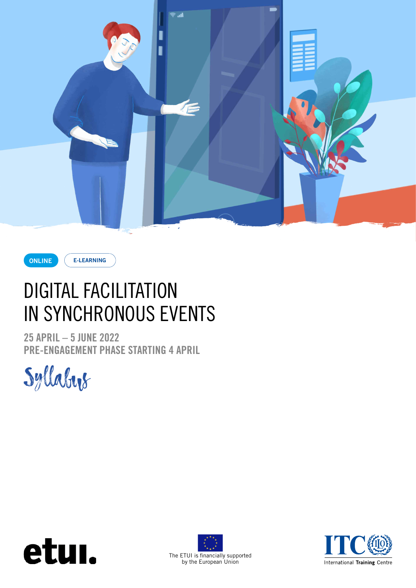



**E-LEARNING**

# DIGITAL FACILITATION IN SYNCHRONOUS EVENTS

**25 APRIL – 5 JUNE 2022 PRE-ENGAGEMENT PHASE STARTING 4 APRIL**







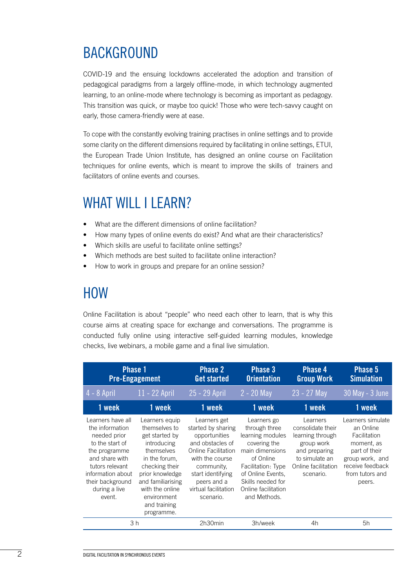### BACKGROUND

COVID-19 and the ensuing lockdowns accelerated the adoption and transition of pedagogical paradigms from a largely offline-mode, in which technology augmented learning, to an online-mode where technology is becoming as important as pedagogy. This transition was quick, or maybe too quick! Those who were tech-savvy caught on early, those camera-friendly were at ease.

To cope with the constantly evolving training practises in online settings and to provide some clarity on the different dimensions required by facilitating in online settings, ETUI, the European Trade Union Institute, has designed an online course on Facilitation techniques for online events, which is meant to improve the skills of trainers and facilitators of online events and courses.

### WHAT WILL I LEARN?

- What are the different dimensions of online facilitation?
- How many types of online events do exist? And what are their characteristics?
- Which skills are useful to facilitate online settings?
- Which methods are best suited to facilitate online interaction?
- How to work in groups and prepare for an online session?

### HOW

Online Facilitation is about "people" who need each other to learn, that is why this course aims at creating space for exchange and conversations. The programme is conducted fully online using interactive self-guided learning modules, knowledge checks, live webinars, a mobile game and a final live simulation.

| <b>Phase 1</b><br><b>Pre-Engagement</b>                                                                                                                                                           |                                                                                                                                                                                                                           | <b>Phase 2</b><br><b>Get started</b>                                                                                                                                                                     | <b>Phase 3</b><br><b>Orientation</b>                                                                                                                                                                    | <b>Phase 4</b><br><b>Group Work</b>                                                                                                    | Phase 5<br><b>Simulation</b>                                                                                                                      |
|---------------------------------------------------------------------------------------------------------------------------------------------------------------------------------------------------|---------------------------------------------------------------------------------------------------------------------------------------------------------------------------------------------------------------------------|----------------------------------------------------------------------------------------------------------------------------------------------------------------------------------------------------------|---------------------------------------------------------------------------------------------------------------------------------------------------------------------------------------------------------|----------------------------------------------------------------------------------------------------------------------------------------|---------------------------------------------------------------------------------------------------------------------------------------------------|
| $4 - 8$ April                                                                                                                                                                                     | 11 - 22 April                                                                                                                                                                                                             | 25 - 29 April                                                                                                                                                                                            | $2 - 20$ May                                                                                                                                                                                            | 23 - 27 May                                                                                                                            | 30 May - 3 June                                                                                                                                   |
| 1 week                                                                                                                                                                                            | 1 week                                                                                                                                                                                                                    | 1 week                                                                                                                                                                                                   | 1 week                                                                                                                                                                                                  | 1 week                                                                                                                                 | 1 week                                                                                                                                            |
| Learners have all<br>the information<br>needed prior<br>to the start of<br>the programme<br>and share with<br>tutors relevant<br>information about<br>their background<br>during a live<br>event. | Learners equip<br>themselves to<br>get started by<br>introducing<br>themselves<br>in the forum,<br>checking their<br>prior knowledge<br>and familiarising<br>with the online<br>environment<br>and training<br>programme. | Learners get<br>started by sharing<br>opportunities<br>and obstacles of<br>Online Facilitation<br>with the course<br>community,<br>start identifying<br>peers and a<br>virtual facilitation<br>scenario. | Learners go<br>through three<br>learning modules<br>covering the<br>main dimensions<br>of Online<br>Facilitation: Type<br>of Online Events,<br>Skills needed for<br>Online facilitation<br>and Methods. | Learners<br>consolidate their<br>learning through<br>group work<br>and preparing<br>to simulate an<br>Online facilitation<br>scenario. | Learners simulate<br>an Online<br>Facilitation<br>moment, as<br>part of their<br>group work, and<br>receive feedback<br>from tutors and<br>peers. |
| 3h                                                                                                                                                                                                |                                                                                                                                                                                                                           | 2h30min                                                                                                                                                                                                  | 3h/week                                                                                                                                                                                                 | 4h                                                                                                                                     | 5h                                                                                                                                                |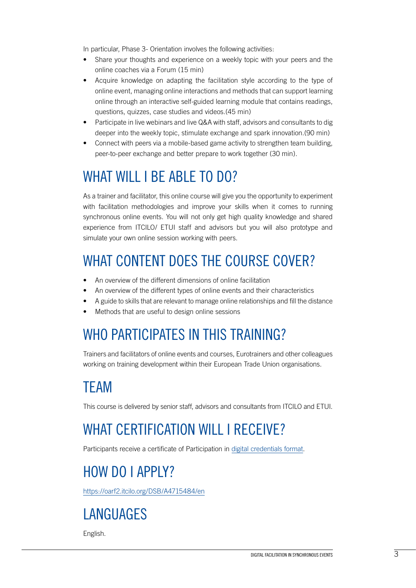In particular, Phase 3- Orientation involves the following activities:

- Share your thoughts and experience on a weekly topic with your peers and the online coaches via a Forum (15 min)
- Acquire knowledge on adapting the facilitation style according to the type of online event, managing online interactions and methods that can support learning online through an interactive self-guided learning module that contains readings, questions, quizzes, case studies and videos.(45 min)
- Participate in live webinars and live Q&A with staff, advisors and consultants to dig deeper into the weekly topic, stimulate exchange and spark innovation.(90 min)
- Connect with peers via a mobile-based game activity to strengthen team building, peer-to-peer exchange and better prepare to work together (30 min).

## WHAT WILL I BE ABLE TO DO?

As a trainer and facilitator, this online course will give you the opportunity to experiment with facilitation methodologies and improve your skills when it comes to running synchronous online events. You will not only get high quality knowledge and shared experience from ITCILO/ ETUI staff and advisors but you will also prototype and simulate your own online session working with peers.

## WHAT CONTENT DOES THE COURSE COVER?

- An overview of the different dimensions of online facilitation
- An overview of the different types of online events and their characteristics
- A guide to skills that are relevant to manage online relationships and fill the distance
- Methods that are useful to design online sessions

### WHO PARTICIPATES IN THIS TRAINING?

Trainers and facilitators of online events and courses, Eurotrainers and other colleagues working on training development within their European Trade Union organisations.

## TEAM

This course is delivered by senior staff, advisors and consultants from ITCILO and ETUI.

## WHAT CERTIFICATION WILL I RECEIVE?

Participants receive a certificate of Participation in [digital credentials format.](https://www.itcilo.org/stories/introducing-itcilos-new-digital-credentials)

## HOW DO I APPLY?

<https://oarf2.itcilo.org/DSB/A4715484/en>

## LANGUAGES

English.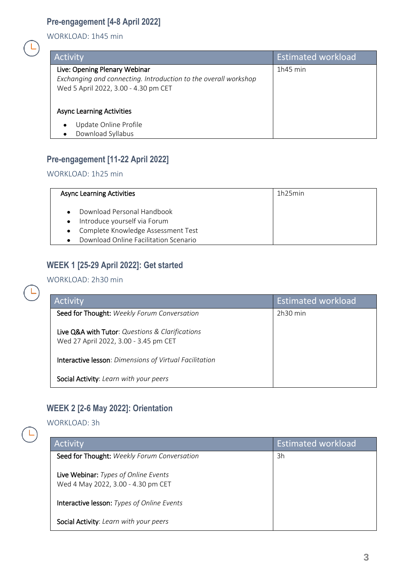### **Pre-engagement [4-8 April 2022]**

WORKLOAD: 1h45 min

| Activity                                                                                                                                 | <b>Estimated workload</b> |
|------------------------------------------------------------------------------------------------------------------------------------------|---------------------------|
| Live: Opening Plenary Webinar<br>Exchanging and connecting. Introduction to the overall workshop<br>Wed 5 April 2022, 3.00 - 4.30 pm CET | $1h45$ min                |
| <b>Async Learning Activities</b>                                                                                                         |                           |
| Update Online Profile<br>$\bullet$<br>Download Syllabus                                                                                  |                           |

#### **Pre-engagement [11-22 April 2022]**

WORKLOAD: 1h25 min

| <b>Async Learning Activities</b>                                                                                                                           | 1h25min |
|------------------------------------------------------------------------------------------------------------------------------------------------------------|---------|
| Download Personal Handbook<br>$\bullet$<br>• Introduce yourself via Forum<br>• Complete Knowledge Assessment Test<br>Download Online Facilitation Scenario |         |

#### **WEEK 1 [25-29 April 2022]: Get started**

WORKLOAD: 2h30 min

| Activity                                                                                 | <b>Estimated workload</b> |
|------------------------------------------------------------------------------------------|---------------------------|
| Seed for Thought: Weekly Forum Conversation                                              | $2h30$ min                |
| Live Q&A with Tutor: Questions & Clarifications<br>Wed 27 April 2022, 3.00 - 3.45 pm CET |                           |
| Interactive lesson: Dimensions of Virtual Facilitation                                   |                           |
| Social Activity: Learn with your peers                                                   |                           |

#### **WEEK 2 [2-6 May 2022]: Orientation**

WORKLOAD: 3h

| Activity                                                                   | <b>Estimated workload</b> |
|----------------------------------------------------------------------------|---------------------------|
| Seed for Thought: Weekly Forum Conversation                                | 3h                        |
| Live Webinar: Types of Online Events<br>Wed 4 May 2022, 3.00 - 4.30 pm CET |                           |
| Interactive lesson: Types of Online Events                                 |                           |
| Social Activity: Learn with your peers                                     |                           |